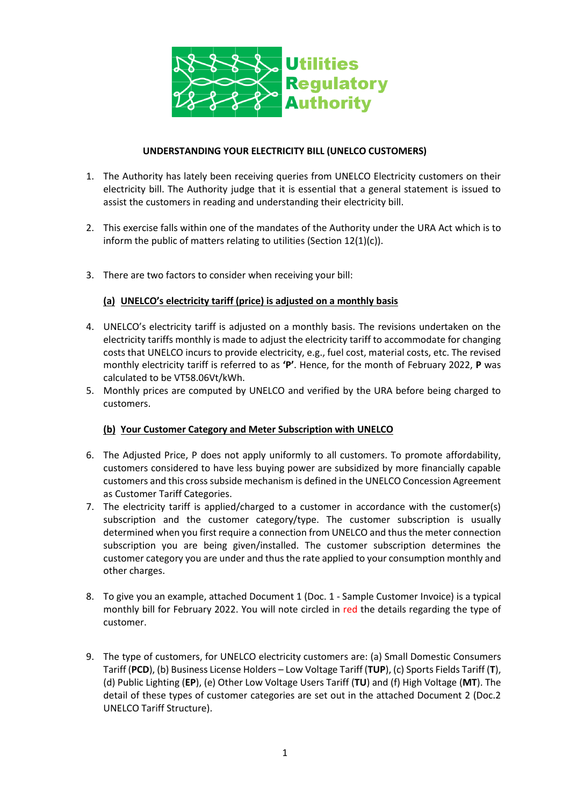

## **UNDERSTANDING YOUR ELECTRICITY BILL (UNELCO CUSTOMERS)**

- 1. The Authority has lately been receiving queries from UNELCO Electricity customers on their electricity bill. The Authority judge that it is essential that a general statement is issued to assist the customers in reading and understanding their electricity bill.
- 2. This exercise falls within one of the mandates of the Authority under the URA Act which is to inform the public of matters relating to utilities (Section 12(1)(c)).
- 3. There are two factors to consider when receiving your bill:

# **(a) UNELCO's electricity tariff (price) is adjusted on a monthly basis**

- 4. UNELCO's electricity tariff is adjusted on a monthly basis. The revisions undertaken on the electricity tariffs monthly is made to adjust the electricity tariff to accommodate for changing costs that UNELCO incurs to provide electricity, e.g., fuel cost, material costs, etc. The revised monthly electricity tariff is referred to as **'P'**. Hence, for the month of February 2022, **P** was calculated to be VT58.06Vt/kWh.
- 5. Monthly prices are computed by UNELCO and verified by the URA before being charged to customers.

## **(b) Your Customer Category and Meter Subscription with UNELCO**

- 6. The Adjusted Price, P does not apply uniformly to all customers. To promote affordability, customers considered to have less buying power are subsidized by more financially capable customers and this cross subside mechanism is defined in the UNELCO Concession Agreement as Customer Tariff Categories.
- 7. The electricity tariff is applied/charged to a customer in accordance with the customer(s) subscription and the customer category/type. The customer subscription is usually determined when you first require a connection from UNELCO and thus the meter connection subscription you are being given/installed. The customer subscription determines the customer category you are under and thus the rate applied to your consumption monthly and other charges.
- 8. To give you an example, attached Document 1 (Doc. 1 Sample Customer Invoice) is a typical monthly bill for February 2022. You will note circled in red the details regarding the type of customer.
- 9. The type of customers, for UNELCO electricity customers are: (a) Small Domestic Consumers Tariff (**PCD**), (b) Business License Holders – Low Voltage Tariff (**TUP**), (c) Sports Fields Tariff (**T**), (d) Public Lighting (**EP**), (e) Other Low Voltage Users Tariff (**TU**) and (f) High Voltage (**MT**). The detail of these types of customer categories are set out in the attached Document 2 (Doc.2 UNELCO Tariff Structure).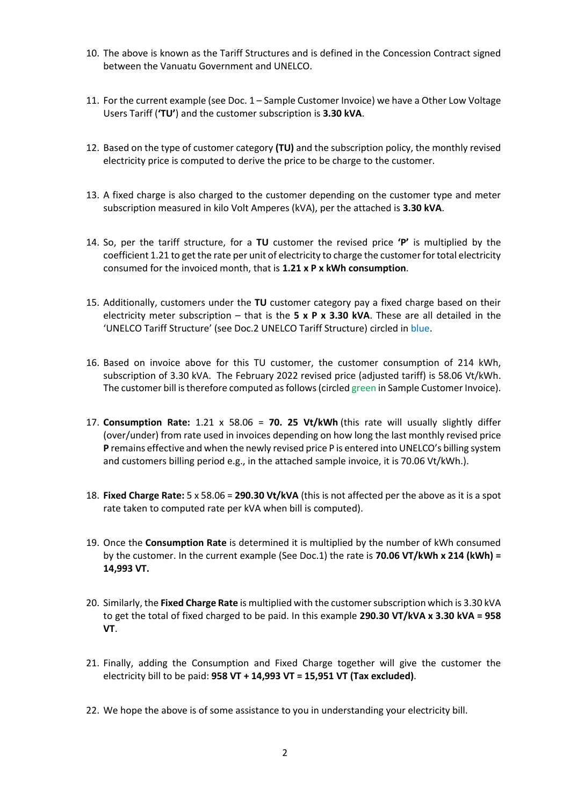- 10. The above is known as the Tariff Structures and is defined in the Concession Contract signed between the Vanuatu Government and UNELCO.
- 11. For the current example (see Doc. 1 Sample Customer Invoice) we have a Other Low Voltage Users Tariff (**'TU'**) and the customer subscription is **3.30 kVA**.
- 12. Based on the type of customer category **(TU)** and the subscription policy, the monthly revised electricity price is computed to derive the price to be charge to the customer.
- 13. A fixed charge is also charged to the customer depending on the customer type and meter subscription measured in kilo Volt Amperes (kVA), per the attached is **3.30 kVA**.
- 14. So, per the tariff structure, for a **TU** customer the revised price **'P'** is multiplied by the coefficient 1.21 to get the rate per unit of electricity to charge the customer for total electricity consumed for the invoiced month, that is **1.21 x P x kWh consumption**.
- 15. Additionally, customers under the **TU** customer category pay a fixed charge based on their electricity meter subscription – that is the **5 x P x 3.30 kVA**. These are all detailed in the 'UNELCO Tariff Structure' (see Doc.2 UNELCO Tariff Structure) circled in blue.
- 16. Based on invoice above for this TU customer, the customer consumption of 214 kWh, subscription of 3.30 kVA. The February 2022 revised price (adjusted tariff) is 58.06 Vt/kWh. The customer bill is therefore computed as follows (circled green in Sample Customer Invoice).
- 17. **Consumption Rate:** 1.21 x 58.06 = **70. 25 Vt/kWh** (this rate will usually slightly differ (over/under) from rate used in invoices depending on how long the last monthly revised price **P** remains effective and when the newly revised price P is entered into UNELCO's billing system and customers billing period e.g., in the attached sample invoice, it is 70.06 Vt/kWh.).
- 18. **Fixed Charge Rate:** 5 x 58.06 = **290.30 Vt/kVA** (this is not affected per the above as it is a spot rate taken to computed rate per kVA when bill is computed).
- 19. Once the **Consumption Rate** is determined it is multiplied by the number of kWh consumed by the customer. In the current example (See Doc.1) the rate is **70.06 VT/kWh x 214 (kWh) = 14,993 VT.**
- 20. Similarly, the **Fixed Charge Rate** is multiplied with the customer subscription which is 3.30 kVA to get the total of fixed charged to be paid. In this example **290.30 VT/kVA x 3.30 kVA = 958 VT**.
- 21. Finally, adding the Consumption and Fixed Charge together will give the customer the electricity bill to be paid: **958 VT + 14,993 VT = 15,951 VT (Tax excluded)**.
- 22. We hope the above is of some assistance to you in understanding your electricity bill.